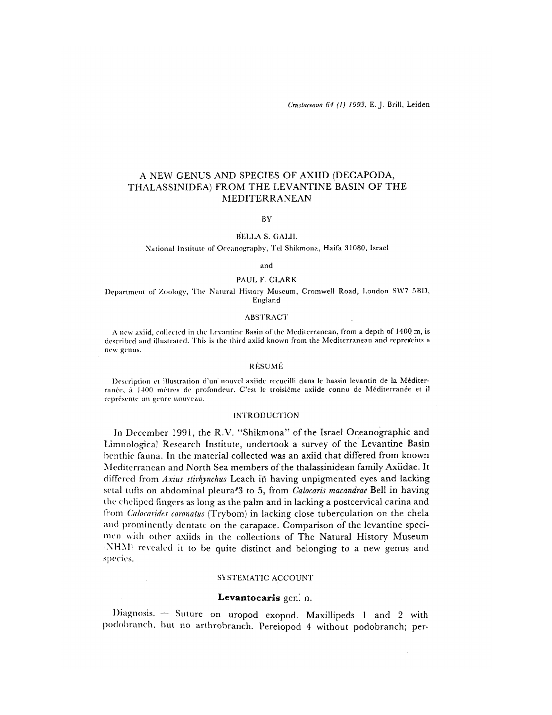# A NEW GENUS AND SPECIES OF AXIID (DECAPODA, THALASSINIDEA) FROM THE LEVANTINE BASIN OF THE MEDITERRANEAN

#### BY

### BELLA S. GALIL

#### National Institute of Oceanography, Tel Shikmona, Haifa 31080, Israel

#### and

#### PAUL F. CLARK

## Department of Zoology, The Natural History Museum, Cromwell Road, London SW7 5BD, England

#### **ABSTRACT**

A new axiid, collected in the Levantine Basin of the Mediterranean, from a depth of 1400 m, is described and illustrated. 'I'his is the third axiid known from the Mediterranean and represfents a new genus.

# RESUME

Description et illustration d'un' nouvel axiidc rerucilli dans le bassin levantin de la Mediterranée, à 1400 mètres de profondeur. C'est le troisième axiide connu de Méditerranée et il représente un genre nouveau.

#### **INTRODUCTION**

In December 1991, the R.V. "Shikmona" of the Israel Oceanographic and Limnological Research Institute, undertook a survey of the Levantine Basin benthic fauna. In the material collected was an axiid that differed from known Mediterranean and North Sea members of the thalassinidean family Axiidae. It differed from *Axius stirhynchus* Leach in having unpigmented eyes and lacking setal tufts on abdominal pleura'3 to 5, from *Calocaris macandrae* Bell in having the chelipod fingers as long as the palm and in lacking a postcervical carina and from *Cahcarides coronalus* (Trybom) in lacking close tuberculation on the chela and prominently dentate on the carapace. Comparison of the levantine specimen with other axiids in the collections of The Natural History Museum (NHM) revealed it to be quite distinct and belonging to a new genus and species.

## SYSTEMATIC ACCOUNT

#### Levantocaris gen. n.

Diagnosis. — Suture on uropod exopod. Maxillipeds 1 and 2 with podobranch, but no arthrobranch. Pereiopod 4 without podobranch; per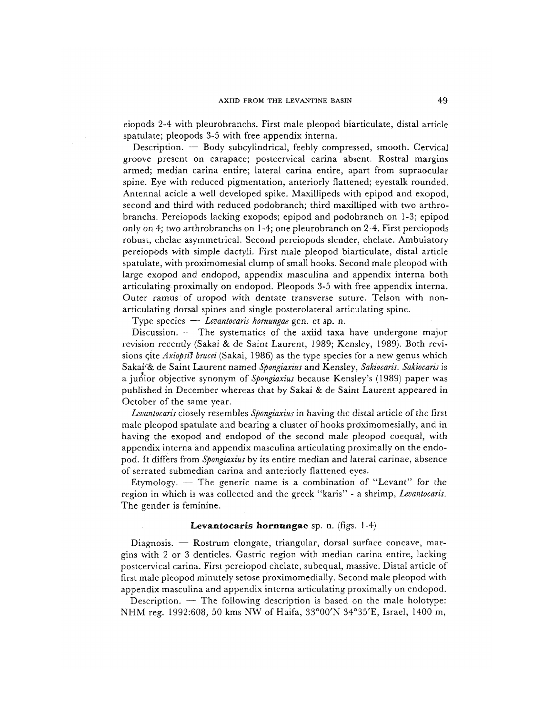eiopods 2-4 with pleurobranchs. First male pleopod biarticulate, distal article spatulate; pleopods 3-5 with free appendix interna.

Description. — Body subcylindrical, feebly compressed, smooth. Cervical groove present on carapace; postcervical carina absent. Rostral margins armed; median carina entire; lateral carina entire, apart from supraocular spine. Eye with reduced pigmentation, anteriorly flattened; eyestalk rounded. Antennal acicle a well developed spike. Maxillipeds with epipod and exopod, second and third with reduced podobranch; third maxilliped with two arthrobranchs. Pereiopods lacking exopods; epipod and podobranch on 1-3; epipod only on 4; two arthrobranchs on 1-4; one pleurobranch on 2-4. First pereiopods robust, chelae asymmetrical. Second pereiopods slender, chelate. Ambulatory pereiopods with simple dactyli. First male pleopod biarticulate, distal article spatulate, with proximomesial clump of small hooks. Second male pleopod with large exopod and endopod, appendix masculina and appendix interna both articulating proximally on endopod. Pleopods 3-5 with free appendix interna. Outer ramus of uropod with dentate transverse suture. Telson with nonarticulating dorsal spines and single posterolateral articulating spine.

Type species — *Levantocaris hornungae* gen. et sp. n.

Discussion. — The systematics of the axiid taxa have undergone major revision recently (Sakai & de Saint Laurent, 1989; Kensley, 1989). Both revisions qite *Axiopsis brucei* (Sakai, 1986) as the type species for a new genus which Sakai''& de Saint Laurent named *Spongiaxius* and Kensley, *Sakiocaris. Sakiocaris* is a junior objective synonym *oi Spongiaxius* because Kensley's (1989) paper was published in December whereas that by Sakai & de Saint Laurent appeared in October of the same year.

*Levantocaris* closely resembles *Spongiaxius* in having the distal article of the first male pleopod spatulate and bearing a cluster of hooks proximomesially, and in having the exopod and endopod of the second male pleopod coequal, with appendix interna and appendix masculina articulating proximally on the endopod. It differs from *Spongiaxius* by its entire median and lateral carinae, absence of serrated submedian carina and anteriorly flattened eyes.

Etymology.  $-$  The generic name is a combination of "Levant" for the region in which is was collected and the greek "karis" - a shrimp, *Levantocaris.*  The gender is feminine.

### **Levantocaris hornungae** sp. n. (figs. 1-4)

Diagnosis. — Rostrum elongate, triangular, dorsal surface concave, margins with 2 or 3 denticles. Gastric region with median carina entire, lacking postcervical carina. First pereiopod chelate, subequal, massive. Distal article of first male pleopod minutely setose proximomedially. Second male pleopod with appendix masculina and appendix interna articulating proximally on endopod.

Description. — The following description is based on the male holotype: N HM reg. 1992:608, 50 kms NW of Haifa, 33°00'N 34°35'E, Israel, 1400 m.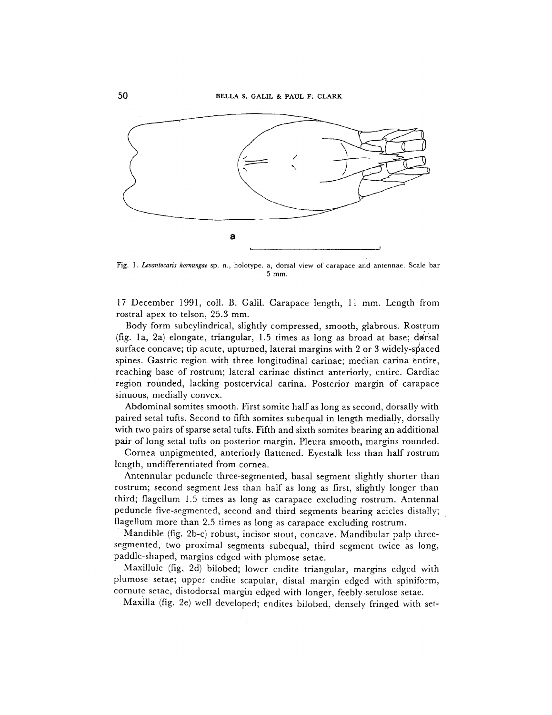

Fig. I. *Levantocaris homungae* sp. n., holotype. a, dorsal view of carapace and antennae. Scale bar 5 mm.

17 December 1991, coll. B. Galil. Carapace length, 11 mm. Length from rostral apex to telson, 25.3 mm.

Body form subcylindrical, slightly compressed, smooth, glabrous. Rostrum (fig. 1a, 2a) elongate, triangular,  $1.5$  times as long as broad at base; dorsal surface concave; tip acute, upturned, lateral margins with 2 or 3 widely-spaced spines. Gastric region with three longitudinal carinae; median carina entire, reaching base of rostrum; lateral carinae distinct anteriorly, entire. Cardiac region rounded, lacking postcervical carina. Posterior margin of carapace sinuous, medially convex.

Abdominal somites smooth. First somite half as long as second, dorsally with paired setal tufts. Second to fifth somites subequal in length medially, dorsally with two pairs of sparse setal tufts. Fifth and sixth somites bearing an additional pair of long setal tufts on posterior margin. Pleura smooth, margins rounded.

Cornea unpigmented, anteriorly flattened. Eyestalk less than half rostrum length, undifferentiated from cornea.

Antennular peduncle three-segmented, basal segment slightly shorter than rostrum; second segment less than half as long as first, slightly longer than third; fiagellum 1.5 times as long as carapace excluding rostrum. Antennal peduncle five-segmented, second and third segments bearing acicles distally; flagellum more than 2.5 times as long as carapace excluding rostrum.

Mandible (fig. 2b-c) robust, incisor stout, concave. Mandibular palp threesegmented, two proximal segments subequal, third segment twice as long, paddle-shaped, margins edged with plumose setae.

Maxillule (fig. 2d) bilobed; lower endite triangular, margins edged with plumose setae; upper endite scapular, distal margin edged with spiniform, cornute setae, distodorsal margin edged with longer, feebly setulose setae.

Maxilla (fig. 2e) well developed; endites bilobed, densely fringed with set-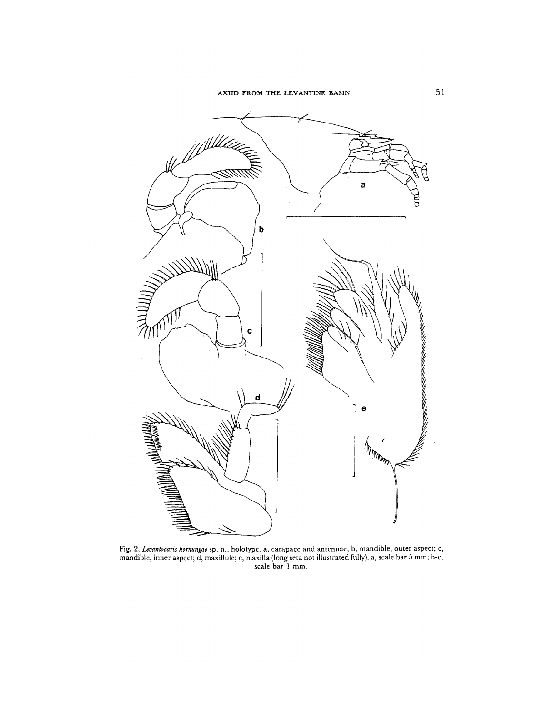

Fig. 2. *Levantocaris hornungae* sp. n., holotype. a, carapace and antennae; b, mandible, outer aspect; c, mandible, inner aspect; d, maxillule; e, maxilla (long seta not illustrated fully), a, scale bar 5 mm; b-e, scale bar 1 mm.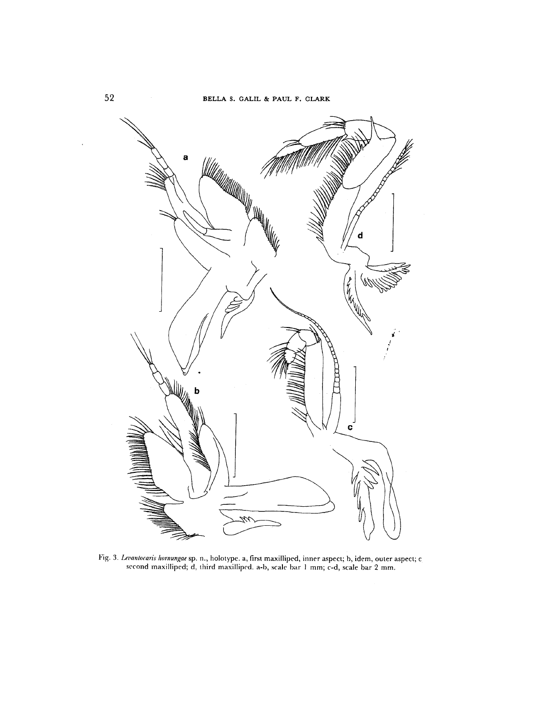

Fig. 3. *Uimnlocaris Iwrnungae* sp. n., liolotype. a, first maxilliped, inner aspect; b, idem, outer aspect; c second maxilliped; d, third maxilliped. a-b, scale bar 1 mm; c-d, scale bar 2 mm.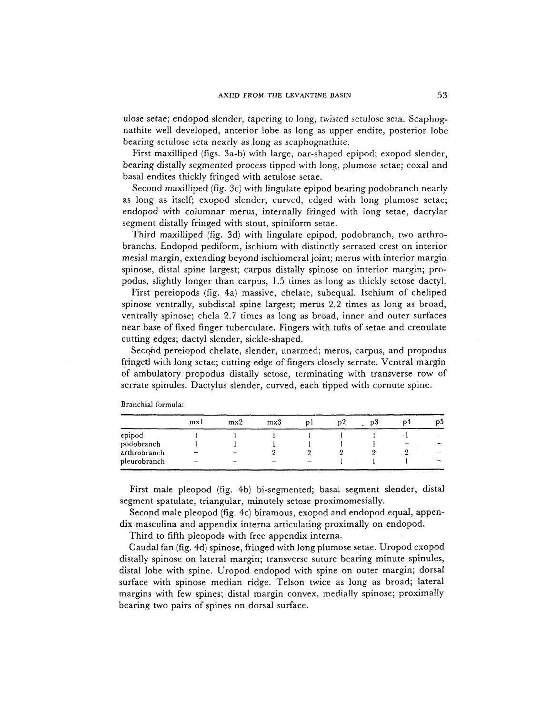ulose setae; endopod slender, tapering to long, twisted setulose seta. Scaphognathite well developed, anterior lobe as long as upper endite, posterior lobe bearing setulose seta nearly as Jong as scaphognathite.

First maxilliped (figs. 3a-b) with large, oar-shaped epipod; exopod slender, bearing distally segmented process tipped with long, plumose setae; coxal and basal endites thickly fringed with setulose setae.

Second maxilliped (fig. 3c) with lingulate epipod bearing podobranch nearly as long as itself; exopod slender, curved, edged with long plumose setae; endopod with columnar merus, internally fringed with long setae, dactylar segment distally fringed with stout, spiniform setae.

Third maxilliped (fig. 3d) with lingulate epipod, podobranch, two arthrobranchs. Endopod pediform, ischium with distinctly serrated crest on interior mesial margin, extending beyond ischiomeral joint; merus with interior margin spinose, distal spine largest; carpus distally spinose on interior margin; propodus, slightly longer than carpus, 1.5 times as long as thickly setose dactyl.

First pereiopods (fig. 4a) massive, chelate, subequal. Ischium of cheliped spinose ventrally, subdistal spine largest; merus 2.2 times as long as broad, ventrally spinose; chela 2.7 times as long as broad, inner and outer surfaces near base of fixed finger tuberculate. Fingers with tufts of setae and crenulate cutting edges; dactyl slender, sickle-shaped.

Second pereiopod chelate, slender, unarmed; merus, carpus, and propodus fringed with long setae; cutting edge of fingers closely serrate. Ventral margin of ambulatory propodus distally setose, terminating with transverse row of serrate spinules. Dactylus slender, curved, each tipped with cornute spine.

|                                                                                                                            | mxl | mx2 | mx3 | DΖ | D 3 | n4 | DЭ |
|----------------------------------------------------------------------------------------------------------------------------|-----|-----|-----|----|-----|----|----|
| epipod                                                                                                                     |     |     |     |    |     |    |    |
| podobranch                                                                                                                 |     |     |     |    |     |    |    |
| arthrobranch                                                                                                               |     |     |     |    |     |    |    |
| pleurobranch<br>All the South of the state of the column and the state of the state of the state of the state of the South |     |     |     |    |     |    |    |

Branchial formula:

First male pleopod (fig. 4b) bi-segmented; basal segment slender, distal segment spatulate, triangular, minutely setose proximomesially.

Secopd male pleopod (fig. 4c) biramous, exopod and endopod equal, appendix masculina and appendix interna articulating proximally on endopod.

Third to fifth pleopods with free appendix interna.

Caudal fan (fig. 4d) spinose, fringed with long plumose setae. Uropod exopod distally spinose on lateral margin; transverse suture bearing minute spinules, distal lobe with spine. Uropod endopod with spine on outer margin; dorsal surface with spinose median ridge. Telson twice as long as broad; lateral margins with few spines; distal margin convex, medially spinose; proximally bearing two pairs of spines on dorsal surface.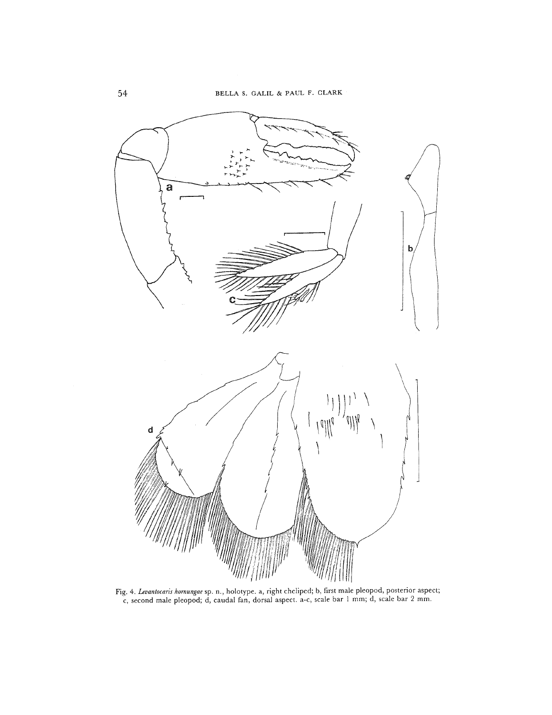

Fig. 4. *Levantocaris hornungae sp.* n., holotype. a, right cheliped; b, first male pleopod, posterior aspect; c, second male pleopod; d, caudal fan, dorsal aspect, a-c, scale bar 1 mm.; d, scale bar 2 mm.